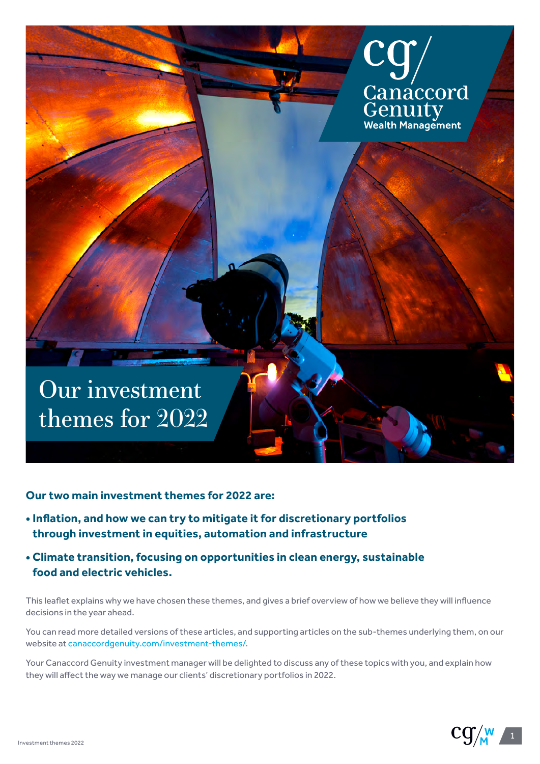

**Our two main investment themes for 2022 are:**

- **Inflation, and how we can try to mitigate it for discretionary portfolios through investment in equities, automation and infrastructure**
- **Climate transition, focusing on opportunities in clean energy, sustainable food and electric vehicles.**

This leaflet explains why we have chosen these themes, and gives a brief overview of how we believe they will influence decisions in the year ahead.

You can read more detailed versions of these articles, and supporting articles on the sub-themes underlying them, on our website at [canaccordgenuity.com/investment-themes/.](https://www.canaccordgenuity.com/wealth-management-uk/investment-themes/)

Your Canaccord Genuity investment manager will be delighted to discuss any of these topics with you, and explain how they will affect the way we manage our clients' discretionary portfolios in 2022.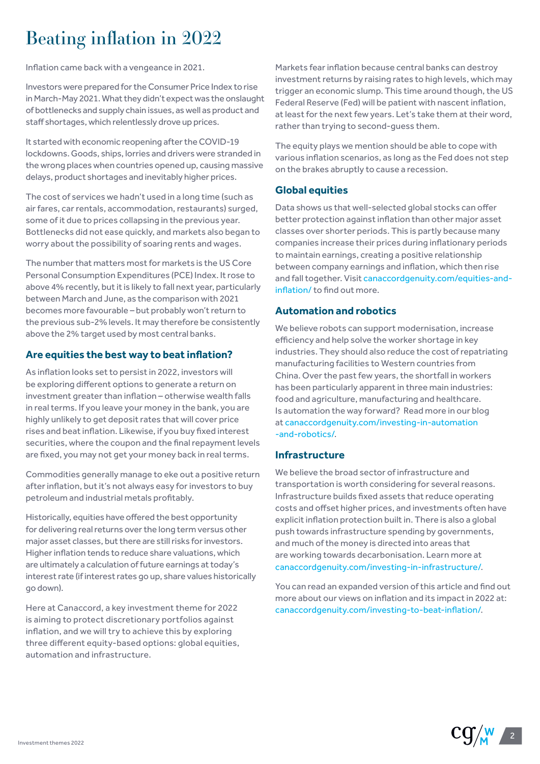# Beating inflation in 2022

Inflation came back with a vengeance in 2021.

Investors were prepared for the Consumer Price Index to rise in March-May 2021. What they didn't expect was the onslaught of bottlenecks and supply chain issues, as well as product and staff shortages, which relentlessly drove up prices.

It started with economic reopening after the COVID-19 lockdowns. Goods, ships, lorries and drivers were stranded in the wrong places when countries opened up, causing massive delays, product shortages and inevitably higher prices.

The cost of services we hadn't used in a long time (such as air fares, car rentals, accommodation, restaurants) surged, some of it due to prices collapsing in the previous year. Bottlenecks did not ease quickly, and markets also began to worry about the possibility of soaring rents and wages.

The number that matters most for markets is the US Core Personal Consumption Expenditures (PCE) Index. It rose to above 4% recently, but it is likely to fall next year, particularly between March and June, as the comparison with 2021 becomes more favourable – but probably won't return to the previous sub-2% levels. It may therefore be consistently above the 2% target used by most central banks.

## **Are equities the best way to beat inflation?**

As inflation looks set to persist in 2022, investors will be exploring different options to generate a return on investment greater than inflation – otherwise wealth falls in real terms. If you leave your money in the bank, you are highly unlikely to get deposit rates that will cover price rises and beat inflation. Likewise, if you buy fixed interest securities, where the coupon and the final repayment levels are fixed, you may not get your money back in real terms.

Commodities generally manage to eke out a positive return after inflation, but it's not always easy for investors to buy petroleum and industrial metals profitably.

Historically, equities have offered the best opportunity for delivering real returns over the long term versus other major asset classes, but there are still risks for investors. Higher inflation tends to reduce share valuations, which are ultimately a calculation of future earnings at today's interest rate (if interest rates go up, share values historically go down).

Here at Canaccord, a key investment theme for 2022 is aiming to protect discretionary portfolios against inflation, and we will try to achieve this by exploring three different equity-based options: global equities, automation and infrastructure.

Markets fear inflation because central banks can destroy investment returns by raising rates to high levels, which may trigger an economic slump. This time around though, the US Federal Reserve (Fed) will be patient with nascent inflation, at least for the next few years. Let's take them at their word, rather than trying to second-guess them.

The equity plays we mention should be able to cope with various inflation scenarios, as long as the Fed does not step on the brakes abruptly to cause a recession.

## **Global equities**

Data shows us that well-selected global stocks can offer better protection against inflation than other major asset classes over shorter periods. This is partly because many companies increase their prices during inflationary periods to maintain earnings, creating a positive relationship between company earnings and inflation, which then rise and fall together. Visit [canaccordgenuity.com/equities-and](https://www.canaccordgenuity.com/wealth-management-uk/news-and-insights/equities-and-inflation/)[inflation/](https://www.canaccordgenuity.com/wealth-management-uk/news-and-insights/equities-and-inflation/) to find out more.

#### **Automation and robotics**

We believe robots can support modernisation, increase efficiency and help solve the worker shortage in key industries. They should also reduce the cost of repatriating manufacturing facilities to Western countries from China. Over the past few years, the shortfall in workers has been particularly apparent in three main industries: food and agriculture, manufacturing and healthcare. Is automation the way forward? Read more in our blog at [canaccordgenuity.com/investing-in-automation](https://www.canaccordgenuity.com/wealth-management-uk/news-and-insights/investing-in-automation-and-robotics/) [-and-robotics/.](https://www.canaccordgenuity.com/wealth-management-uk/news-and-insights/investing-in-automation-and-robotics/)

#### **Infrastructure**

We believe the broad sector of infrastructure and transportation is worth considering for several reasons. Infrastructure builds fixed assets that reduce operating costs and offset higher prices, and investments often have explicit inflation protection built in. There is also a global push towards infrastructure spending by governments, and much of the money is directed into areas that are working towards decarbonisation. Learn more at [canaccordgenuity.com/investing-in-infrastructure/](https://www.canaccordgenuity.com/wealth-management-uk/news-and-insights/investing-in-infrastructure/).

You can read an expanded version of this article and find out more about our views on inflation and its impact in 2022 at: [canaccordgenuity.com/investing-to-beat-inflation/.](https://www.canaccordgenuity.com/wealth-management-uk/news-and-insights/equities-and-inflation/)

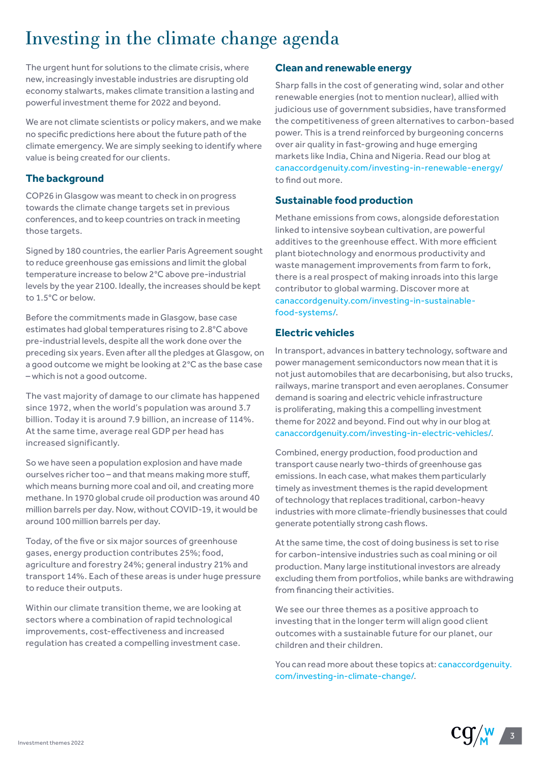# Investing in the climate change agenda

The urgent hunt for solutions to the climate crisis, where new, increasingly investable industries are disrupting old economy stalwarts, makes climate transition a lasting and powerful investment theme for 2022 and beyond.

We are not climate scientists or policy makers, and we make no specific predictions here about the future path of the climate emergency. We are simply seeking to identify where value is being created for our clients.

# **The background**

COP26 in Glasgow was meant to check in on progress towards the climate change targets set in previous conferences, and to keep countries on track in meeting those targets.

Signed by 180 countries, the earlier Paris Agreement sought to reduce greenhouse gas emissions and limit the global temperature increase to below 2°C above pre-industrial levels by the year 2100. Ideally, the increases should be kept to 1.5°C or below.

Before the commitments made in Glasgow, base case estimates had global temperatures rising to 2.8°C above pre-industrial levels, despite all the work done over the preceding six years. Even after all the pledges at Glasgow, on a good outcome we might be looking at 2°C as the base case – which is not a good outcome.

The vast majority of damage to our climate has happened since 1972, when the world's population was around 3.7 billion. Today it is around 7.9 billion, an increase of 114%. At the same time, average real GDP per head has increased significantly.

So we have seen a population explosion and have made ourselves richer too – and that means making more stuff, which means burning more coal and oil, and creating more methane. In 1970 global crude oil production was around 40 million barrels per day. Now, without COVID-19, it would be around 100 million barrels per day.

Today, of the five or six major sources of greenhouse gases, energy production contributes 25%; food, agriculture and forestry 24%; general industry 21% and transport 14%. Each of these areas is under huge pressure to reduce their outputs.

Within our climate transition theme, we are looking at sectors where a combination of rapid technological improvements, cost-effectiveness and increased regulation has created a compelling investment case.

## **Clean and renewable energy**

Sharp falls in the cost of generating wind, solar and other renewable energies (not to mention nuclear), allied with judicious use of government subsidies, have transformed the competitiveness of green alternatives to carbon-based power. This is a trend reinforced by burgeoning concerns over air quality in fast-growing and huge emerging markets like India, China and Nigeria. Read our blog at [canaccordgenuity.com/investing-in-renewable-energy/](https://www.canaccordgenuity.com/wealth-management-uk/news-and-insights/investing-in-renewable-energy/) to find out more.

# **Sustainable food production**

Methane emissions from cows, alongside deforestation linked to intensive soybean cultivation, are powerful additives to the greenhouse effect. With more efficient plant biotechnology and enormous productivity and waste management improvements from farm to fork, there is a real prospect of making inroads into this large contributor to global warming. Discover more at [canaccordgenuity.com/investing-in-sustainable](https://www.canaccordgenuity.com/wealth-management-uk/news-and-insights/investing-in-sustainable-food-systems/)[food-systems/](https://www.canaccordgenuity.com/wealth-management-uk/news-and-insights/investing-in-sustainable-food-systems/).

# **Electric vehicles**

In transport, advances in battery technology, software and power management semiconductors now mean that it is not just automobiles that are decarbonising, but also trucks, railways, marine transport and even aeroplanes. Consumer demand is soaring and electric vehicle infrastructure is proliferating, making this a compelling investment theme for 2022 and beyond. Find out why in our blog at [canaccordgenuity.com/investing-in-electric-vehicles/.](https://www.canaccordgenuity.com/wealth-management-uk/news-and-insights/investing-in-electric-vehicles/)

Combined, energy production, food production and transport cause nearly two-thirds of greenhouse gas emissions. In each case, what makes them particularly timely as investment themes is the rapid development of technology that replaces traditional, carbon-heavy industries with more climate-friendly businesses that could generate potentially strong cash flows.

At the same time, the cost of doing business is set to rise for carbon-intensive industries such as coal mining or oil production. Many large institutional investors are already excluding them from portfolios, while banks are withdrawing from financing their activities.

We see our three themes as a positive approach to investing that in the longer term will align good client outcomes with a sustainable future for our planet, our children and their children.

You can read more about these topics at: [canaccordgenuity.](https://www.canaccordgenuity.com/wealth-management-uk/news-and-insights/investing-in-climate-change/) [com/investing-in-climate-change/](https://www.canaccordgenuity.com/wealth-management-uk/news-and-insights/investing-in-climate-change/).